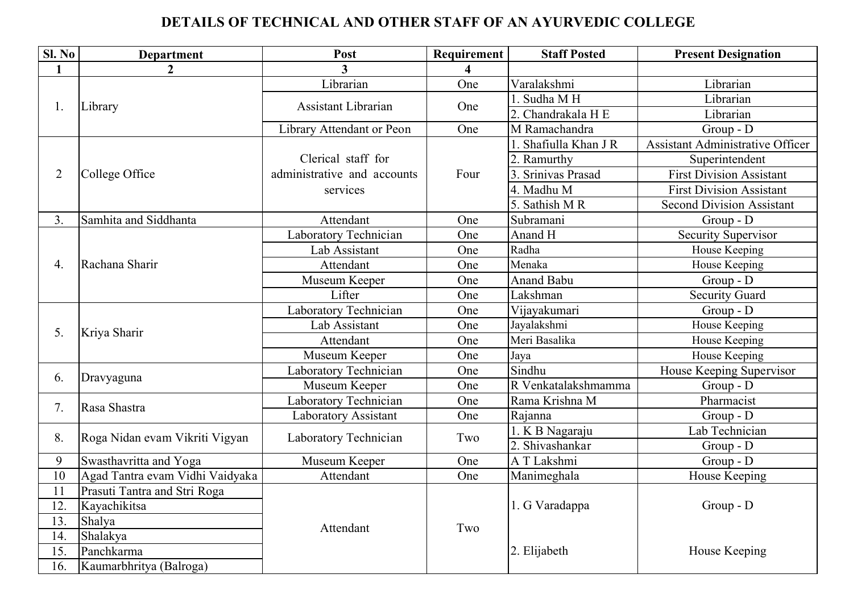## DETAILS OF TECHNICAL AND OTHER STAFF OF AN AYURVEDIC COLLEGE

| SI. No         | <b>Department</b>               | Post                        | Requirement             | <b>Staff Posted</b> | <b>Present Designation</b>              |
|----------------|---------------------------------|-----------------------------|-------------------------|---------------------|-----------------------------------------|
| $\mathbf{1}$   | $\boldsymbol{2}$                | 3                           | $\overline{\mathbf{4}}$ |                     |                                         |
| 1.             | Library                         | Librarian                   | One                     | Varalakshmi         | Librarian                               |
|                |                                 | <b>Assistant Librarian</b>  | One                     | 1. Sudha MH         | Librarian                               |
|                |                                 |                             |                         | 2. Chandrakala H E  | Librarian                               |
|                |                                 | Library Attendant or Peon   | One                     | M Ramachandra       | $Group - D$                             |
|                | College Office                  |                             | Four                    | Shafiulla Khan J R  | <b>Assistant Administrative Officer</b> |
|                |                                 | Clerical staff for          |                         | 2. Ramurthy         | Superintendent                          |
| $\overline{2}$ |                                 | administrative and accounts |                         | Srinivas Prasad     | <b>First Division Assistant</b>         |
|                |                                 | services                    |                         | 4. Madhu M          | <b>First Division Assistant</b>         |
|                |                                 |                             |                         | 5. Sathish MR       | <b>Second Division Assistant</b>        |
| 3.             | Samhita and Siddhanta           | Attendant                   | One                     | Subramani           | $Group - D$                             |
|                | Rachana Sharir                  | Laboratory Technician       | One                     | Anand H             | <b>Security Supervisor</b>              |
|                |                                 | Lab Assistant               | One                     | Radha               | House Keeping                           |
| 4.             |                                 | Attendant                   | One                     | Menaka              | House Keeping                           |
|                |                                 | Museum Keeper               | One                     | <b>Anand Babu</b>   | $Group - D$                             |
|                |                                 | Lifter                      | One                     | Lakshman            | <b>Security Guard</b>                   |
| 5.             | Kriya Sharir                    | Laboratory Technician       | One                     | Vijayakumari        | Group - D                               |
|                |                                 | Lab Assistant               | One                     | Jayalakshmi         | House Keeping                           |
|                |                                 | Attendant                   | One                     | Meri Basalika       | House Keeping                           |
|                |                                 | Museum Keeper               | One                     | Jaya                | House Keeping                           |
|                | Dravyaguna                      | Laboratory Technician       | One                     | Sindhu              | House Keeping Supervisor                |
| 6.             |                                 | Museum Keeper               | One                     | R Venkatalakshmamma | $Group - D$                             |
| 7.             | Rasa Shastra                    | Laboratory Technician       | One                     | Rama Krishna M      | Pharmacist                              |
|                |                                 | <b>Laboratory Assistant</b> | One                     | Rajanna             | $Group - D$                             |
| 8.             | Roga Nidan evam Vikriti Vigyan  | Laboratory Technician       | Two                     | 1. K B Nagaraju     | Lab Technician                          |
|                |                                 |                             |                         | 2. Shivashankar     | $Group - D$                             |
| 9              | Swasthavritta and Yoga          | Museum Keeper               | One                     | A T Lakshmi         | Group - D                               |
| 10             | Agad Tantra evam Vidhi Vaidyaka | Attendant                   | One                     | Manimeghala         | House Keeping                           |
| 11             | Prasuti Tantra and Stri Roga    |                             |                         |                     |                                         |
| 12.            | Kayachikitsa                    |                             |                         | 1. G Varadappa      | Group - D                               |
| 13.            | Shalya                          | Attendant                   | Two                     |                     |                                         |
| 14.            | Shalakya                        |                             |                         |                     |                                         |
| 15.            | Panchkarma                      |                             |                         | 2. Elijabeth        | House Keeping                           |
| 16.            | Kaumarbhritya (Balroga)         |                             |                         |                     |                                         |